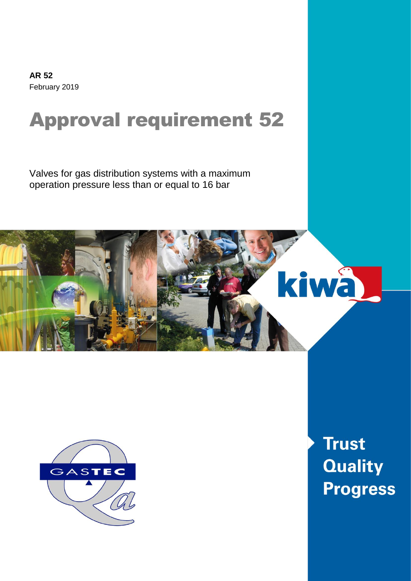**AR 52** February 2019

# Approval requirement 52

Valves for gas distribution systems with a maximum operation pressure less than or equal to 16 bar





**Trust Quality Progress**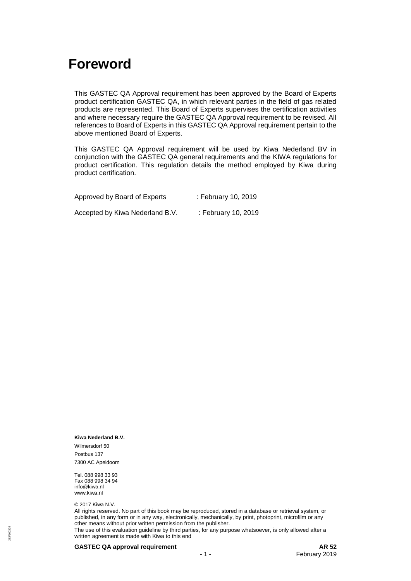### <span id="page-1-0"></span>**Foreword**

This GASTEC QA Approval requirement has been approved by the Board of Experts product certification GASTEC QA, in which relevant parties in the field of gas related products are represented. This Board of Experts supervises the certification activities and where necessary require the GASTEC QA Approval requirement to be revised. All references to Board of Experts in this GASTEC QA Approval requirement pertain to the above mentioned Board of Experts.

This GASTEC QA Approval requirement will be used by Kiwa Nederland BV in conjunction with the GASTEC QA general requirements and the KIWA regulations for product certification. This regulation details the method employed by Kiwa during product certification.

| Approved by Board of Experts    | : February 10, 2019 |
|---------------------------------|---------------------|
| Accepted by Kiwa Nederland B.V. | : February 10, 2019 |

**Kiwa Nederland B.V.**

Wilmersdorf 50 Postbus 137 7300 AC Apeldoorn

Tel. 088 998 33 93 Fax 088 998 34 94 info@kiwa.nl www.kiwa.nl

© 2017 Kiwa N.V.

All rights reserved. No part of this book may be reproduced, stored in a database or retrieval system, or published, in any form or in any way, electronically, mechanically, by print, photoprint, microfilm or any other means without prior written permission from the publisher.

The use of this evaluation guideline by third parties, for any purpose whatsoever, is only allowed after a written agreement is made with Kiwa to this end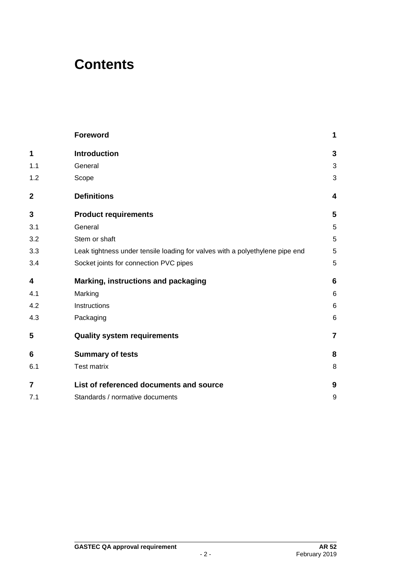### **Contents**

|                | <b>Foreword</b>                                                              | 1              |
|----------------|------------------------------------------------------------------------------|----------------|
| 1              | <b>Introduction</b>                                                          | 3              |
| 1.1            | General                                                                      | 3              |
| 1.2            | Scope                                                                        | 3              |
| $\mathbf 2$    | <b>Definitions</b>                                                           | 4              |
| 3              | <b>Product requirements</b>                                                  | 5              |
| 3.1            | General                                                                      | 5              |
| 3.2            | Stem or shaft                                                                | 5              |
| 3.3            | Leak tightness under tensile loading for valves with a polyethylene pipe end | 5              |
| 3.4            | Socket joints for connection PVC pipes                                       | 5              |
| 4              | Marking, instructions and packaging                                          | 6              |
| 4.1            | Marking                                                                      | 6              |
| 4.2            | Instructions                                                                 | 6              |
| 4.3            | Packaging                                                                    | 6              |
| 5              | <b>Quality system requirements</b>                                           | $\overline{7}$ |
| 6              | <b>Summary of tests</b>                                                      | 8              |
| 6.1            | <b>Test matrix</b>                                                           | 8              |
| $\overline{7}$ | List of referenced documents and source                                      | 9              |
| 7.1            | Standards / normative documents                                              | 9              |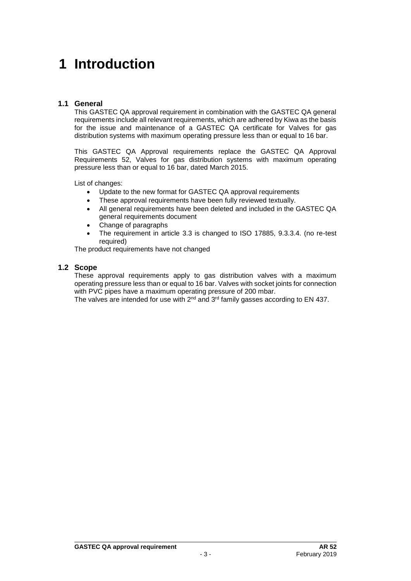### <span id="page-3-0"></span>**1 Introduction**

#### <span id="page-3-1"></span>**1.1 General**

This GASTEC QA approval requirement in combination with the GASTEC QA general requirements include all relevant requirements, which are adhered by Kiwa as the basis for the issue and maintenance of a GASTEC QA certificate for Valves for gas distribution systems with maximum operating pressure less than or equal to 16 bar.

This GASTEC QA Approval requirements replace the GASTEC QA Approval Requirements 52, Valves for gas distribution systems with maximum operating pressure less than or equal to 16 bar, dated March 2015.

List of changes:

- Update to the new format for GASTEC QA approval requirements
- These approval requirements have been fully reviewed textually.
- All general requirements have been deleted and included in the GASTEC QA general requirements document
- Change of paragraphs
- The requirement in article 3.3 is changed to ISO 17885, 9.3.3.4. (no re-test required)

<span id="page-3-2"></span>The product requirements have not changed

#### **1.2 Scope**

These approval requirements apply to gas distribution valves with a maximum operating pressure less than or equal to 16 bar. Valves with socket joints for connection with PVC pipes have a maximum operating pressure of 200 mbar.

The valves are intended for use with  $2^{nd}$  and  $3^{rd}$  family gasses according to EN 437.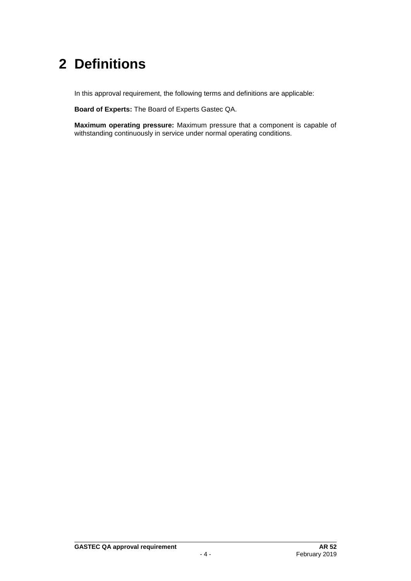# <span id="page-4-0"></span>**2 Definitions**

In this approval requirement, the following terms and definitions are applicable:

**Board of Experts:** The Board of Experts Gastec QA.

**Maximum operating pressure:** Maximum pressure that a component is capable of withstanding continuously in service under normal operating conditions.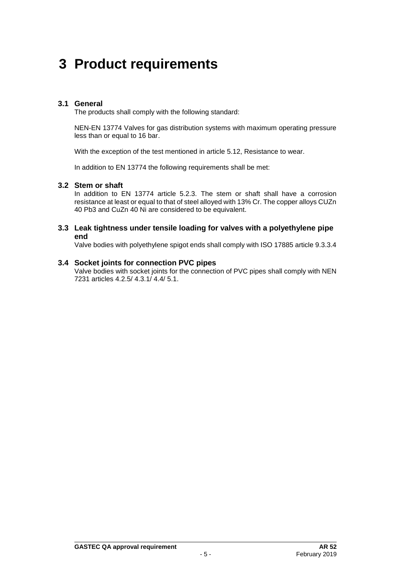### <span id="page-5-0"></span>**3 Product requirements**

#### <span id="page-5-1"></span>**3.1 General**

The products shall comply with the following standard:

NEN-EN 13774 Valves for gas distribution systems with maximum operating pressure less than or equal to 16 bar.

With the exception of the test mentioned in article 5.12, Resistance to wear.

<span id="page-5-2"></span>In addition to EN 13774 the following requirements shall be met:

#### **3.2 Stem or shaft**

In addition to EN 13774 article 5.2.3. The stem or shaft shall have a corrosion resistance at least or equal to that of steel alloyed with 13% Cr. The copper alloys CUZn 40 Pb3 and CuZn 40 Ni are considered to be equivalent.

#### <span id="page-5-3"></span>**3.3 Leak tightness under tensile loading for valves with a polyethylene pipe end**

<span id="page-5-4"></span>Valve bodies with polyethylene spigot ends shall comply with ISO 17885 article 9.3.3.4

#### **3.4 Socket joints for connection PVC pipes**

Valve bodies with socket joints for the connection of PVC pipes shall comply with NEN 7231 articles 4.2.5/ 4.3.1/ 4.4/ 5.1.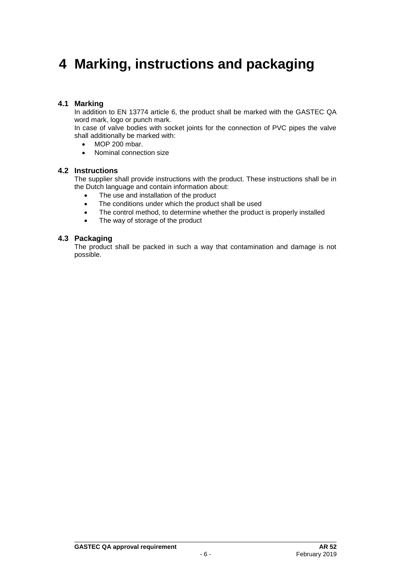## <span id="page-6-0"></span>**4 Marking, instructions and packaging**

#### <span id="page-6-1"></span>**4.1 Marking**

In addition to EN 13774 article 6, the product shall be marked with the GASTEC QA word mark, logo or punch mark.

In case of valve bodies with socket joints for the connection of PVC pipes the valve shall additionally be marked with:

- MOP 200 mbar.
- <span id="page-6-2"></span>• Nominal connection size

#### **4.2 Instructions**

The supplier shall provide instructions with the product. These instructions shall be in the Dutch language and contain information about:

- The use and installation of the product
- The conditions under which the product shall be used
- The control method, to determine whether the product is properly installed
- <span id="page-6-3"></span>• The way of storage of the product

#### **4.3 Packaging**

The product shall be packed in such a way that contamination and damage is not possible.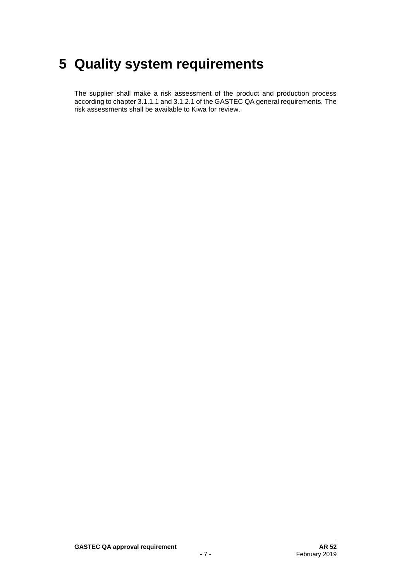## <span id="page-7-0"></span>**5 Quality system requirements**

The supplier shall make a risk assessment of the product and production process according to chapter 3.1.1.1 and 3.1.2.1 of the GASTEC QA general requirements. The risk assessments shall be available to Kiwa for review.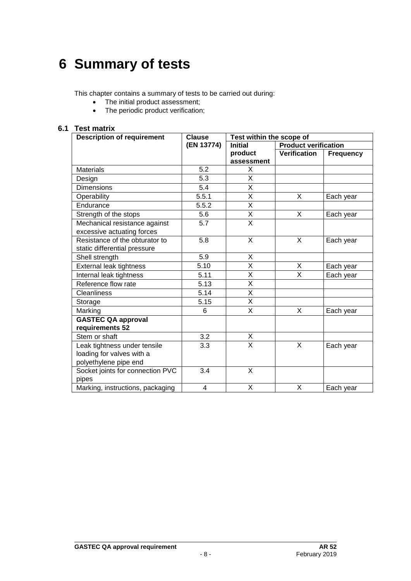## <span id="page-8-0"></span>**6 Summary of tests**

This chapter contains a summary of tests to be carried out during:

- The initial product assessment;
- The periodic product verification;

#### **6.1 Test matrix**

<span id="page-8-1"></span>

| <b>Description of requirement</b> | Clause           | Test within the scope of |                             |                  |
|-----------------------------------|------------------|--------------------------|-----------------------------|------------------|
|                                   | (EN 13774)       | <b>Initial</b>           | <b>Product verification</b> |                  |
|                                   |                  | product                  | <b>Verification</b>         | <b>Frequency</b> |
|                                   |                  | assessment               |                             |                  |
| <b>Materials</b>                  | 5.2              | X                        |                             |                  |
| Design                            | 5.3              | Χ                        |                             |                  |
| <b>Dimensions</b>                 | 5.4              | X                        |                             |                  |
| Operability                       | 5.5.1            | $\overline{\mathsf{x}}$  | X                           | Each year        |
| Endurance                         | 5.5.2            | X                        |                             |                  |
| Strength of the stops             | 5.6              | X                        | X                           | Each year        |
| Mechanical resistance against     | $\overline{5.7}$ | $\overline{\mathsf{x}}$  |                             |                  |
| excessive actuating forces        |                  |                          |                             |                  |
| Resistance of the obturator to    | 5.8              | $\overline{\mathsf{x}}$  | $\overline{\mathsf{x}}$     | Each year        |
| static differential pressure      |                  |                          |                             |                  |
| Shell strength                    | 5.9              | X                        |                             |                  |
| External leak tightness           | 5.10             | $\overline{\mathsf{x}}$  | X                           | Each year        |
| Internal leak tightness           | 5.11             | X                        | X                           | Each year        |
| Reference flow rate               | 5.13             | Χ                        |                             |                  |
| <b>Cleanliness</b>                | 5.14             | X                        |                             |                  |
| Storage                           | 5.15             | $\overline{\mathsf{x}}$  |                             |                  |
| Marking                           | 6                | $\overline{\mathsf{x}}$  | X                           | Each year        |
| <b>GASTEC QA approval</b>         |                  |                          |                             |                  |
| requirements 52                   |                  |                          |                             |                  |
| Stem or shaft                     | 3.2              | X                        |                             |                  |
| Leak tightness under tensile      | 3.3              | $\overline{\mathsf{x}}$  | X                           | Each year        |
| loading for valves with a         |                  |                          |                             |                  |
| polyethylene pipe end             |                  |                          |                             |                  |
| Socket joints for connection PVC  | 3.4              | X                        |                             |                  |
| pipes                             |                  |                          |                             |                  |
| Marking, instructions, packaging  | 4                | X                        | X                           | Each year        |